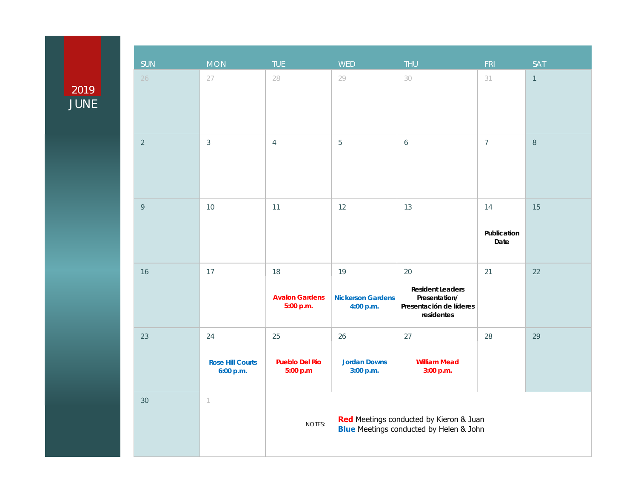## 2019 JUNE

| SUN            | <b>MON</b>                                 | <b>TUE</b>                                                                                          | <b>WED</b>                                  | <b>THU</b>                                                                              | FRI                       | <b>SAT</b>     |  |
|----------------|--------------------------------------------|-----------------------------------------------------------------------------------------------------|---------------------------------------------|-----------------------------------------------------------------------------------------|---------------------------|----------------|--|
| 26             | 27                                         | 28                                                                                                  | 29                                          | 30                                                                                      | 31                        | $\overline{1}$ |  |
| $\overline{2}$ | $\mathfrak{Z}$                             | $\overline{4}$                                                                                      | 5                                           | 6                                                                                       | $\overline{7}$            | $\,8\,$        |  |
| $\circ$        | 10                                         | 11                                                                                                  | 12                                          | 13                                                                                      | 14<br>Publication<br>Date | 15             |  |
| 16             | 17                                         | 18<br><b>Avalon Gardens</b><br>5:00 p.m.                                                            | 19<br><b>Nickerson Gardens</b><br>4:00 p.m. | 20<br><b>Resident Leaders</b><br>Presentation/<br>Presentación de líderes<br>residentes | 21                        | 22             |  |
| 23             | 24<br><b>Rose Hill Courts</b><br>6:00 p.m. | 25<br><b>Pueblo Del Rio</b><br>5:00 p.m                                                             | 26<br><b>Jordan Downs</b><br>3:00 p.m.      | 27<br><b>William Mead</b><br>3:00 p.m.                                                  | 28                        | 29             |  |
| 30             | $\left\lceil \right\rceil$                 | Red Meetings conducted by Kieron & Juan<br>NOTES:<br><b>Blue</b> Meetings conducted by Helen & John |                                             |                                                                                         |                           |                |  |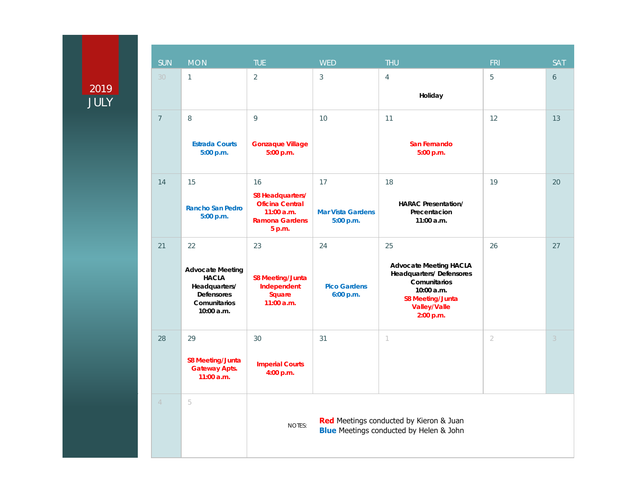## 2019

|                     | <b>SUN</b>     | <b>MON</b>                                                                                                        | <b>TUE</b>                                                                                          | <b>WED</b>                                  | <b>THU</b>                                                                                                                                                         | <b>FRI</b>     | <b>SAT</b>       |
|---------------------|----------------|-------------------------------------------------------------------------------------------------------------------|-----------------------------------------------------------------------------------------------------|---------------------------------------------|--------------------------------------------------------------------------------------------------------------------------------------------------------------------|----------------|------------------|
| 2019<br><b>JULY</b> | 30             | $\mathbf{1}$                                                                                                      | $\overline{2}$                                                                                      | $\mathfrak{Z}$                              | $\overline{4}$<br>Holiday                                                                                                                                          | 5              | $\boldsymbol{6}$ |
|                     | $\overline{7}$ | 8<br><b>Estrada Courts</b><br>5:00 p.m.                                                                           | 9<br><b>Gonzaque Village</b><br>5:00 p.m.                                                           | 10                                          | 11<br>San Fernando<br>5:00 p.m.                                                                                                                                    | 12             | 13               |
|                     | 14             | 15<br><b>Rancho San Pedro</b><br>5:00 p.m.                                                                        | 16<br>S8 Headquarters/<br><b>Oficina Central</b><br>$11:00$ a.m.<br><b>Ramona Gardens</b><br>5 p.m. | 17<br><b>Mar Vista Gardens</b><br>5:00 p.m. | 18<br><b>HARAC Presentation/</b><br>Precentacion<br>11:00 a.m.                                                                                                     | 19             | 20               |
|                     | 21             | 22<br><b>Advocate Meeting</b><br><b>HACLA</b><br>Headquarters/<br><b>Defensores</b><br>Comunitarios<br>10:00 a.m. | 23<br><b>S8 Meeting/Junta</b><br>Independent<br>Square<br>11:00 a.m.                                | 24<br><b>Pico Gardens</b><br>6:00 p.m.      | 25<br><b>Advocate Meeting HACLA</b><br><b>Headquarters/Defensores</b><br>Comunitarios<br>10:00 a.m.<br><b>S8 Meeting/Junta</b><br><b>Valley/Valle</b><br>2:00 p.m. | 26             | 27               |
|                     | 28             | 29<br><b>S8 Meeting/Junta</b><br><b>Gateway Apts.</b><br>11:00 a.m.                                               | 30<br><b>Imperial Courts</b><br>4:00 p.m.                                                           | 31                                          | $\left( \right)$                                                                                                                                                   | $\overline{2}$ | 3                |
|                     | $\overline{4}$ | 5                                                                                                                 | <b>NOTES:</b>                                                                                       |                                             | Red Meetings conducted by Kieron & Juan<br><b>Blue</b> Meetings conducted by Helen & John                                                                          |                |                  |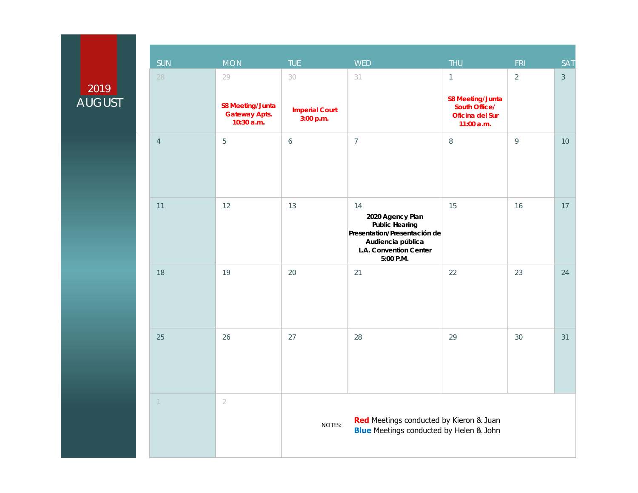## 2019 **AUGUST**

| <b>SUN</b>       | MON                                                                 | <b>TUE</b>                               | <b>WED</b>                                                                                                                                  | <b>THU</b>                                                                                  | <b>FRI</b>     | <b>SAT</b>     |
|------------------|---------------------------------------------------------------------|------------------------------------------|---------------------------------------------------------------------------------------------------------------------------------------------|---------------------------------------------------------------------------------------------|----------------|----------------|
| 28               | 29<br><b>S8 Meeting/Junta</b><br><b>Gateway Apts.</b><br>10:30 a.m. | 30<br><b>Imperial Court</b><br>3:00 p.m. | 31                                                                                                                                          | $\mathbf{1}$<br><b>S8 Meeting/Junta</b><br>South Office/<br>Oficina del Sur<br>$11:00$ a.m. | $\overline{2}$ | $\mathfrak{Z}$ |
| $\overline{4}$   | 5                                                                   | $\boldsymbol{6}$                         | $\overline{7}$                                                                                                                              | $\,8\,$                                                                                     | $\mathsf{Q}$   | 10             |
| 11               | 12                                                                  | 13                                       | 14<br>2020 Agency Plan<br><b>Public Hearing</b><br>Presentation/Presentación de<br>Audiencia pública<br>L.A. Convention Center<br>5:00 P.M. | 15                                                                                          | 16             | 17             |
| 18               | 19                                                                  | 20                                       | 21                                                                                                                                          | 22                                                                                          | 23             | 24             |
| 25               | 26                                                                  | 27                                       | 28                                                                                                                                          | 29                                                                                          | 30             | 31             |
| $\left  \right $ | $\overline{2}$                                                      | NOTES:                                   | Red Meetings conducted by Kieron & Juan<br><b>Blue</b> Meetings conducted by Helen & John                                                   |                                                                                             |                |                |